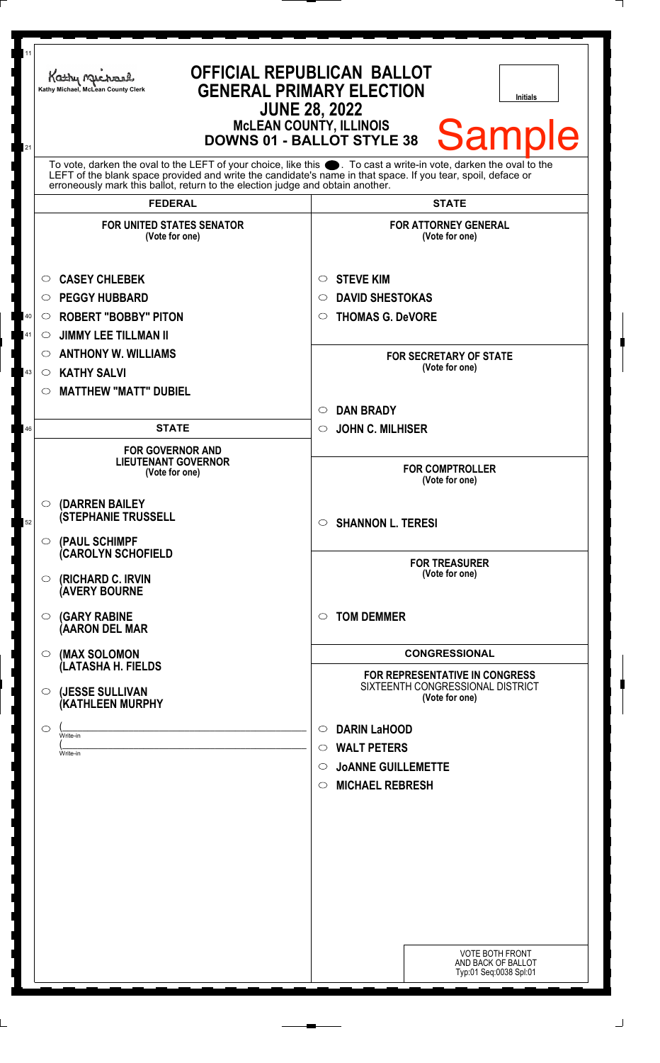| 11<br>21 | <b>OFFICIAL REPUBLICAN BALLOT</b><br>Kathy Machael<br><b>GENERAL PRIMARY ELECTION</b><br>Kathy Michael, McLean County Clerk<br><b>Initials</b><br><b>JUNE 28, 2022</b><br><b>McLEAN COUNTY, ILLINOIS</b><br><b>Sample</b><br><b>DOWNS 01 - BALLOT STYLE 38</b>                                                         |                                                                                                                                              |
|----------|------------------------------------------------------------------------------------------------------------------------------------------------------------------------------------------------------------------------------------------------------------------------------------------------------------------------|----------------------------------------------------------------------------------------------------------------------------------------------|
|          | To vote, darken the oval to the LEFT of your choice, like this $\bullet$ . To cast a write-in vote, darken the oval to the LEFT of the blank space provided and write the candidate's name in that space. If you tear, spoil, deface<br>erroneously mark this ballot, return to the election judge and obtain another. |                                                                                                                                              |
|          | <b>FEDERAL</b>                                                                                                                                                                                                                                                                                                         | <b>STATE</b>                                                                                                                                 |
|          | <b>FOR UNITED STATES SENATOR</b><br>(Vote for one)                                                                                                                                                                                                                                                                     | <b>FOR ATTORNEY GENERAL</b><br>(Vote for one)                                                                                                |
|          | <b>CASEY CHLEBEK</b><br>$\circ$                                                                                                                                                                                                                                                                                        | <b>STEVE KIM</b><br>$\circ$                                                                                                                  |
|          | <b>PEGGY HUBBARD</b><br>$\circ$                                                                                                                                                                                                                                                                                        | <b>DAVID SHESTOKAS</b><br>$\circ$                                                                                                            |
| 40       | <b>ROBERT "BOBBY" PITON</b><br>$\circ$                                                                                                                                                                                                                                                                                 | <b>THOMAS G. DeVORE</b><br>$\circ$                                                                                                           |
| 41       | <b>JIMMY LEE TILLMAN II</b><br>$\circlearrowright$                                                                                                                                                                                                                                                                     |                                                                                                                                              |
|          | <b>ANTHONY W. WILLIAMS</b><br>$\circ$                                                                                                                                                                                                                                                                                  | <b>FOR SECRETARY OF STATE</b>                                                                                                                |
| 43       | <b>KATHY SALVI</b><br>$\circ$                                                                                                                                                                                                                                                                                          | (Vote for one)                                                                                                                               |
|          | <b>MATTHEW "MATT" DUBIEL</b><br>$\circ$                                                                                                                                                                                                                                                                                |                                                                                                                                              |
|          |                                                                                                                                                                                                                                                                                                                        | <b>DAN BRADY</b><br>$\circ$                                                                                                                  |
| 46       | <b>STATE</b>                                                                                                                                                                                                                                                                                                           | <b>JOHN C. MILHISER</b><br>$\circ$                                                                                                           |
|          | <b>FOR GOVERNOR AND</b><br><b>LIEUTENANT GOVERNOR</b><br>(Vote for one)                                                                                                                                                                                                                                                | <b>FOR COMPTROLLER</b><br>(Vote for one)                                                                                                     |
| 52       | $\circ$ (DARREN BAILEY<br><b>(STEPHANIE TRUSSELL</b><br>O (PAUL SCHIMPF                                                                                                                                                                                                                                                | $\circ$ SHANNON L. TERESI                                                                                                                    |
|          | <b>CAROLYN SCHOFIELD</b><br>(RICHARD C. IRVIN<br>$\circ$<br>(AVERY BOURNE                                                                                                                                                                                                                                              | <b>FOR TREASURER</b><br>(Vote for one)                                                                                                       |
|          | <b>(GARY RABINE</b><br>$\circ$<br>(AARON DEL MAR                                                                                                                                                                                                                                                                       | <b>TOM DEMMER</b><br>$\circ$                                                                                                                 |
|          | (MAX SOLOMON<br>$\circ$<br>(LATASHA H. FIELDS                                                                                                                                                                                                                                                                          | <b>CONGRESSIONAL</b><br>FOR REPRESENTATIVE IN CONGRESS                                                                                       |
|          | (JESSE SULLIVAN<br>$\circ$<br><b>(KATHLEEN MURPHY</b>                                                                                                                                                                                                                                                                  | SIXTEENTH CONGRESSIONAL DISTRICT<br>(Vote for one)                                                                                           |
|          | $\circ$<br>Write-in<br>Write-in                                                                                                                                                                                                                                                                                        | <b>DARIN LaHOOD</b><br>$\circ$<br><b>WALT PETERS</b><br>$\circ$<br><b>JOANNE GUILLEMETTE</b><br>$\circ$<br><b>MICHAEL REBRESH</b><br>$\circ$ |
|          |                                                                                                                                                                                                                                                                                                                        | <b>VOTE BOTH FRONT</b><br>AND BACK OF BALLOT<br>Typ:01 Seq:0038 Spl:01                                                                       |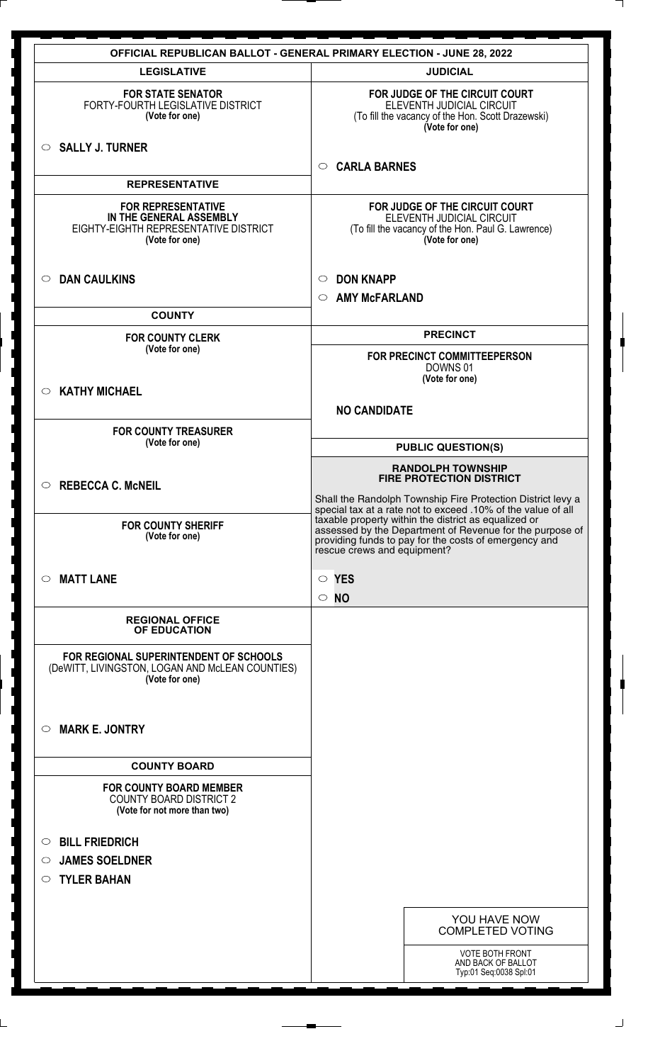|                                                                                                                 | <b>OFFICIAL REPUBLICAN BALLOT - GENERAL PRIMARY ELECTION - JUNE 28, 2022</b>                                                                                                                             |
|-----------------------------------------------------------------------------------------------------------------|----------------------------------------------------------------------------------------------------------------------------------------------------------------------------------------------------------|
| <b>LEGISLATIVE</b>                                                                                              | <b>JUDICIAL</b>                                                                                                                                                                                          |
| <b>FOR STATE SENATOR</b><br>FORTY-FOURTH LEGISLATIVE DISTRICT<br>(Vote for one)                                 | FOR JUDGE OF THE CIRCUIT COURT<br>ELEVENTH JUDICIAL CIRCUIT<br>(To fill the vacancy of the Hon. Scott Drazewski)<br>(Vote for one)                                                                       |
| $\circ$ SALLY J. TURNER                                                                                         | <b>CARLA BARNES</b><br>$\circ$                                                                                                                                                                           |
| <b>REPRESENTATIVE</b>                                                                                           |                                                                                                                                                                                                          |
| <b>FOR REPRESENTATIVE</b><br>IN THE GENERAL ASSEMBLY<br>EIGHTY-EIGHTH REPRESENTATIVE DISTRICT<br>(Vote for one) | FOR JUDGE OF THE CIRCUIT COURT<br>ELEVENTH JUDICIAL CIRCUIT<br>(To fill the vacancy of the Hon. Paul G. Lawrence)<br>(Vote for one)                                                                      |
| <b>DAN CAULKINS</b><br>$\circ$                                                                                  | <b>DON KNAPP</b><br>O                                                                                                                                                                                    |
|                                                                                                                 | <b>AMY McFARLAND</b><br>$\circ$                                                                                                                                                                          |
| <b>COUNTY</b>                                                                                                   |                                                                                                                                                                                                          |
| <b>FOR COUNTY CLERK</b><br>(Vote for one)                                                                       | <b>PRECINCT</b>                                                                                                                                                                                          |
|                                                                                                                 | FOR PRECINCT COMMITTEEPERSON<br>DOWNS 01<br>(Vote for one)                                                                                                                                               |
| <b>KATHY MICHAEL</b><br>$\bigcirc$                                                                              |                                                                                                                                                                                                          |
|                                                                                                                 | <b>NO CANDIDATE</b>                                                                                                                                                                                      |
| <b>FOR COUNTY TREASURER</b><br>(Vote for one)                                                                   | <b>PUBLIC QUESTION(S)</b>                                                                                                                                                                                |
|                                                                                                                 | <b>RANDOLPH TOWNSHIP</b>                                                                                                                                                                                 |
| <b>REBECCA C. McNEIL</b><br>$\bigcirc$                                                                          | <b>FIRE PROTECTION DISTRICT</b>                                                                                                                                                                          |
|                                                                                                                 | Shall the Randolph Township Fire Protection District levy a<br>special tax at a rate not to exceed .10% of the value of all                                                                              |
| <b>FOR COUNTY SHERIFF</b><br>(Vote for one)                                                                     | taxable property within the district as equalized or<br>assessed by the Department of Revenue for the purpose of<br>providing funds to pay for the costs of emergency and<br>rescue crews and equipment? |
| <b>MATT LANE</b><br>$\circ$                                                                                     | $\circ$ YES<br>$\circ$                                                                                                                                                                                   |
| <b>REGIONAL OFFICE</b><br>OF EDUCATION                                                                          | <b>NO</b>                                                                                                                                                                                                |
| FOR REGIONAL SUPERINTENDENT OF SCHOOLS<br>(DeWITT, LIVINGSTON, LOGAN AND McLEAN COUNTIES)<br>(Vote for one)     |                                                                                                                                                                                                          |
| <b>MARK E. JONTRY</b><br>$\circ$                                                                                |                                                                                                                                                                                                          |
| <b>COUNTY BOARD</b>                                                                                             |                                                                                                                                                                                                          |
| <b>FOR COUNTY BOARD MEMBER</b><br><b>COUNTY BOARD DISTRICT 2</b><br>(Vote for not more than two)                |                                                                                                                                                                                                          |
|                                                                                                                 |                                                                                                                                                                                                          |
| <b>BILL FRIEDRICH</b><br>$\circ$<br><b>JAMES SOELDNER</b>                                                       |                                                                                                                                                                                                          |
| $\circ$<br><b>TYLER BAHAN</b><br>$\circ$                                                                        |                                                                                                                                                                                                          |
|                                                                                                                 |                                                                                                                                                                                                          |
|                                                                                                                 | YOU HAVE NOW<br><b>COMPLETED VOTING</b>                                                                                                                                                                  |
|                                                                                                                 | <b>VOTE BOTH FRONT</b>                                                                                                                                                                                   |
|                                                                                                                 | AND BACK OF BALLOT<br>Typ:01 Seq:0038 Spl:01                                                                                                                                                             |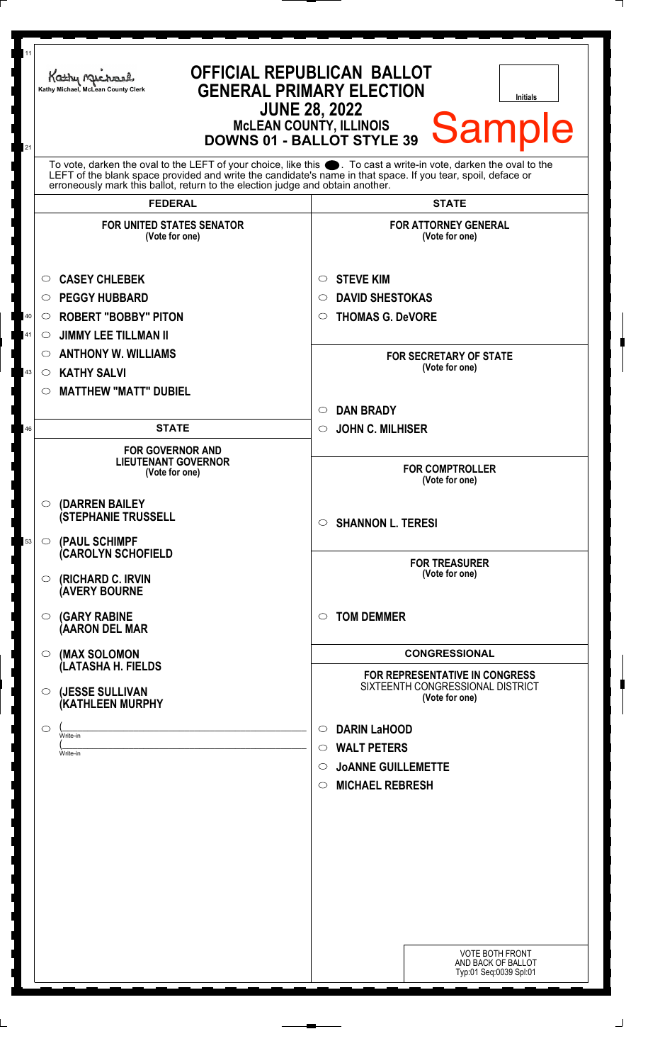| 11<br>21 | Kathy Michael<br>Kathy Michael, McLean County Clerk                                                                                                                                                                                                                                                                 | <b>OFFICIAL REPUBLICAN BALLOT</b><br><b>GENERAL PRIMARY ELECTION</b><br><b>Initials</b><br><b>JUNE 28, 2022</b><br>Sample<br>MCLEAN COUNTY, ILLINOIS<br>DOWNS 01 - BALLOT STYLE 39 |
|----------|---------------------------------------------------------------------------------------------------------------------------------------------------------------------------------------------------------------------------------------------------------------------------------------------------------------------|------------------------------------------------------------------------------------------------------------------------------------------------------------------------------------|
|          | To vote, darken the oval to the LEFT of your choice, like this ●. To cast a write-in vote, darken the oval to the<br>LEFT of the blank space provided and write the candidate's name in that space. If you tear, spoil, deface or<br>erroneously mark this ballot, return to the election judge and obtain another. |                                                                                                                                                                                    |
|          | <b>FEDERAL</b>                                                                                                                                                                                                                                                                                                      | <b>STATE</b>                                                                                                                                                                       |
|          | <b>FOR UNITED STATES SENATOR</b><br>(Vote for one)                                                                                                                                                                                                                                                                  | <b>FOR ATTORNEY GENERAL</b><br>(Vote for one)                                                                                                                                      |
|          | <b>CASEY CHLEBEK</b>                                                                                                                                                                                                                                                                                                | <b>STEVE KIM</b><br>O                                                                                                                                                              |
|          | <b>PEGGY HUBBARD</b><br>$\circ$                                                                                                                                                                                                                                                                                     | <b>DAVID SHESTOKAS</b><br>O                                                                                                                                                        |
| 40       | <b>ROBERT "BOBBY" PITON</b><br>$\circ$                                                                                                                                                                                                                                                                              | <b>THOMAS G. DeVORE</b><br>$\circ$                                                                                                                                                 |
| 41       | <b>JIMMY LEE TILLMAN II</b><br>$\circ$                                                                                                                                                                                                                                                                              |                                                                                                                                                                                    |
|          | <b>ANTHONY W. WILLIAMS</b><br>$\circ$                                                                                                                                                                                                                                                                               | <b>FOR SECRETARY OF STATE</b>                                                                                                                                                      |
| 43       | <b>KATHY SALVI</b><br>$\circ$                                                                                                                                                                                                                                                                                       | (Vote for one)                                                                                                                                                                     |
|          | <b>MATTHEW "MATT" DUBIEL</b><br>$\circ$                                                                                                                                                                                                                                                                             |                                                                                                                                                                                    |
|          |                                                                                                                                                                                                                                                                                                                     | <b>DAN BRADY</b><br>$\circ$                                                                                                                                                        |
| 46       | <b>STATE</b>                                                                                                                                                                                                                                                                                                        | <b>JOHN C. MILHISER</b><br>$\circ$                                                                                                                                                 |
|          | <b>FOR GOVERNOR AND</b><br><b>LIEUTENANT GOVERNOR</b><br>(Vote for one)                                                                                                                                                                                                                                             | <b>FOR COMPTROLLER</b><br>(Vote for one)                                                                                                                                           |
|          | © (DARREN BAILEY<br><b>(STEPHANIE TRUSSELL</b>                                                                                                                                                                                                                                                                      | $\circ$ SHANNON L. TERESI                                                                                                                                                          |
| 53       | $\circ$ (PAUL SCHIMPF<br>(CAROLYN SCHOFIELD                                                                                                                                                                                                                                                                         |                                                                                                                                                                                    |
|          | <b>(RICHARD C. IRVIN</b><br>$\circ$<br><b>AVERY BOURNE</b>                                                                                                                                                                                                                                                          | <b>FOR TREASURER</b><br>(Vote for one)                                                                                                                                             |
|          | <b>(GARY RABINE</b><br>$\circ$<br>(AARON DEL MAR                                                                                                                                                                                                                                                                    | <b>TOM DEMMER</b><br>$\circ$                                                                                                                                                       |
|          | $\circ$ (MAX SOLOMON<br>(LATASHA H. FIELDS                                                                                                                                                                                                                                                                          | <b>CONGRESSIONAL</b>                                                                                                                                                               |
|          | (JESSE SULLIVAN<br>$\circ$<br>(KATHLEEN MURPHY                                                                                                                                                                                                                                                                      | <b>FOR REPRESENTATIVE IN CONGRESS</b><br>SIXTEENTH CONGRESSIONAL DISTRICT<br>(Vote for one)                                                                                        |
|          | $\circ$                                                                                                                                                                                                                                                                                                             | <b>DARIN LaHOOD</b><br>O                                                                                                                                                           |
|          | Write-in<br>Write-in                                                                                                                                                                                                                                                                                                | <b>WALT PETERS</b><br>$\circ$                                                                                                                                                      |
|          |                                                                                                                                                                                                                                                                                                                     | <b>JOANNE GUILLEMETTE</b><br>$\circ$                                                                                                                                               |
|          |                                                                                                                                                                                                                                                                                                                     | <b>MICHAEL REBRESH</b><br>$\circ$                                                                                                                                                  |
|          |                                                                                                                                                                                                                                                                                                                     |                                                                                                                                                                                    |
|          |                                                                                                                                                                                                                                                                                                                     |                                                                                                                                                                                    |
|          |                                                                                                                                                                                                                                                                                                                     |                                                                                                                                                                                    |
|          |                                                                                                                                                                                                                                                                                                                     |                                                                                                                                                                                    |
|          |                                                                                                                                                                                                                                                                                                                     |                                                                                                                                                                                    |
|          |                                                                                                                                                                                                                                                                                                                     |                                                                                                                                                                                    |
|          |                                                                                                                                                                                                                                                                                                                     |                                                                                                                                                                                    |
|          |                                                                                                                                                                                                                                                                                                                     |                                                                                                                                                                                    |
|          |                                                                                                                                                                                                                                                                                                                     | VOTE BOTH FRONT<br>AND BACK OF BALLOT<br>Typ:01 Seq:0039 Spl:01                                                                                                                    |
|          |                                                                                                                                                                                                                                                                                                                     |                                                                                                                                                                                    |